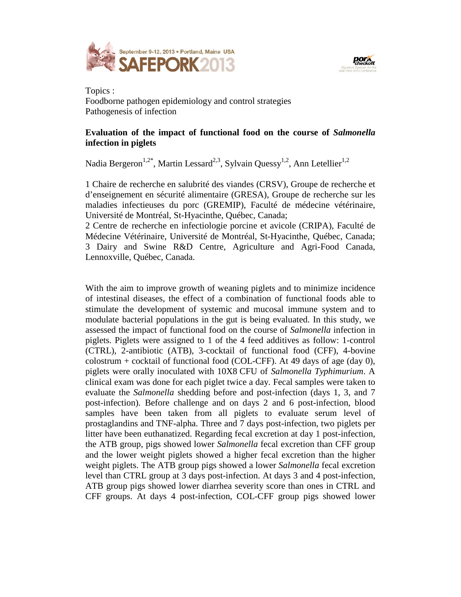



Topics : Foodborne pathogen epidemiology and control strategies Pathogenesis of infection

## **Evaluation of the impact of functional food on the course of** *Salmonella* **infection in piglets**

Nadia Bergeron<sup>1,2\*</sup>, Martin Lessard<sup>2,3</sup>, Sylvain Quessy<sup>1,2</sup>, Ann Letellier<sup>1,2</sup>

1 Chaire de recherche en salubrité des viandes (CRSV), Groupe de recherche et d'enseignement en sécurité alimentaire (GRESA), Groupe de recherche sur les maladies infectieuses du porc (GREMIP), Faculté de médecine vétérinaire, Université de Montréal, St-Hyacinthe, Québec, Canada;

2 Centre de recherche en infectiologie porcine et avicole (CRIPA), Faculté de Médecine Vétérinaire, Université de Montréal, St-Hyacinthe, Québec, Canada; 3 Dairy and Swine R&D Centre, Agriculture and Agri-Food Canada, Lennoxville, Québec, Canada.

With the aim to improve growth of weaning piglets and to minimize incidence of intestinal diseases, the effect of a combination of functional foods able to stimulate the development of systemic and mucosal immune system and to modulate bacterial populations in the gut is being evaluated. In this study, we assessed the impact of functional food on the course of *Salmonella* infection in piglets. Piglets were assigned to 1 of the 4 feed additives as follow: 1-control (CTRL), 2-antibiotic (ATB), 3-cocktail of functional food (CFF), 4-bovine colostrum + cocktail of functional food (COL-CFF). At 49 days of age (day 0), piglets were orally inoculated with 10X8 CFU of *Salmonella Typhimurium*. A clinical exam was done for each piglet twice a day. Fecal samples were taken to evaluate the *Salmonella* shedding before and post-infection (days 1, 3, and 7 post-infection). Before challenge and on days 2 and 6 post-infection, blood samples have been taken from all piglets to evaluate serum level of prostaglandins and TNF-alpha. Three and 7 days post-infection, two piglets per litter have been euthanatized. Regarding fecal excretion at day 1 post-infection, the ATB group, pigs showed lower *Salmonella* fecal excretion than CFF group and the lower weight piglets showed a higher fecal excretion than the higher weight piglets. The ATB group pigs showed a lower *Salmonella* fecal excretion level than CTRL group at 3 days post-infection. At days 3 and 4 post-infection, ATB group pigs showed lower diarrhea severity score than ones in CTRL and CFF groups. At days 4 post-infection, COL-CFF group pigs showed lower